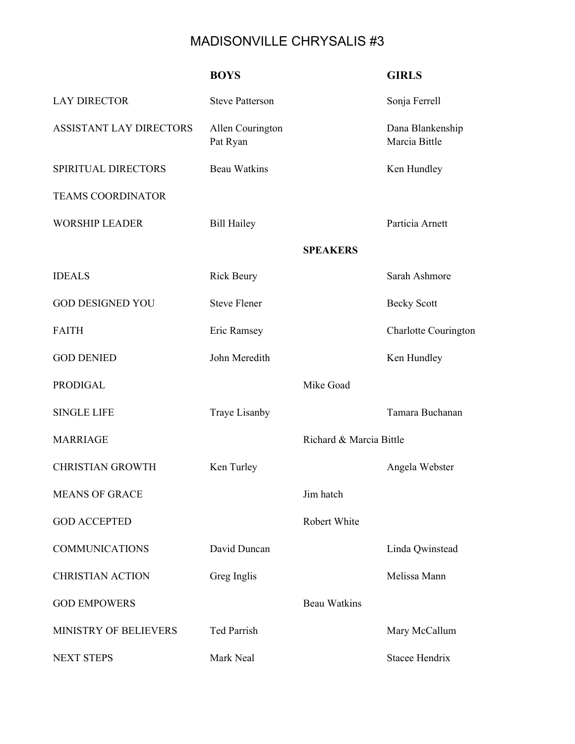## MADISONVILLE CHRYSALIS #3

|                          | <b>BOYS</b>                  |                         | <b>GIRLS</b>                      |
|--------------------------|------------------------------|-------------------------|-----------------------------------|
| <b>LAY DIRECTOR</b>      | <b>Steve Patterson</b>       |                         | Sonja Ferrell                     |
| ASSISTANT LAY DIRECTORS  | Allen Courington<br>Pat Ryan |                         | Dana Blankenship<br>Marcia Bittle |
| SPIRITUAL DIRECTORS      | <b>Beau Watkins</b>          |                         | Ken Hundley                       |
| <b>TEAMS COORDINATOR</b> |                              |                         |                                   |
| <b>WORSHIP LEADER</b>    | <b>Bill Hailey</b>           |                         | Particia Arnett                   |
|                          |                              | <b>SPEAKERS</b>         |                                   |
| <b>IDEALS</b>            | <b>Rick Beury</b>            |                         | Sarah Ashmore                     |
| <b>GOD DESIGNED YOU</b>  | <b>Steve Flener</b>          |                         | <b>Becky Scott</b>                |
| <b>FAITH</b>             | Eric Ramsey                  |                         | Charlotte Courington              |
| <b>GOD DENIED</b>        | John Meredith                |                         | Ken Hundley                       |
| <b>PRODIGAL</b>          |                              | Mike Goad               |                                   |
| <b>SINGLE LIFE</b>       | Traye Lisanby                |                         | Tamara Buchanan                   |
| <b>MARRIAGE</b>          |                              | Richard & Marcia Bittle |                                   |
| <b>CHRISTIAN GROWTH</b>  | Ken Turley                   |                         | Angela Webster                    |
| <b>MEANS OF GRACE</b>    |                              | Jim hatch               |                                   |
| <b>GOD ACCEPTED</b>      |                              | Robert White            |                                   |
| <b>COMMUNICATIONS</b>    | David Duncan                 |                         | Linda Qwinstead                   |
| <b>CHRISTIAN ACTION</b>  | Greg Inglis                  |                         | Melissa Mann                      |
| <b>GOD EMPOWERS</b>      |                              | <b>Beau Watkins</b>     |                                   |
| MINISTRY OF BELIEVERS    | <b>Ted Parrish</b>           |                         | Mary McCallum                     |
| <b>NEXT STEPS</b>        | Mark Neal                    |                         | Stacee Hendrix                    |